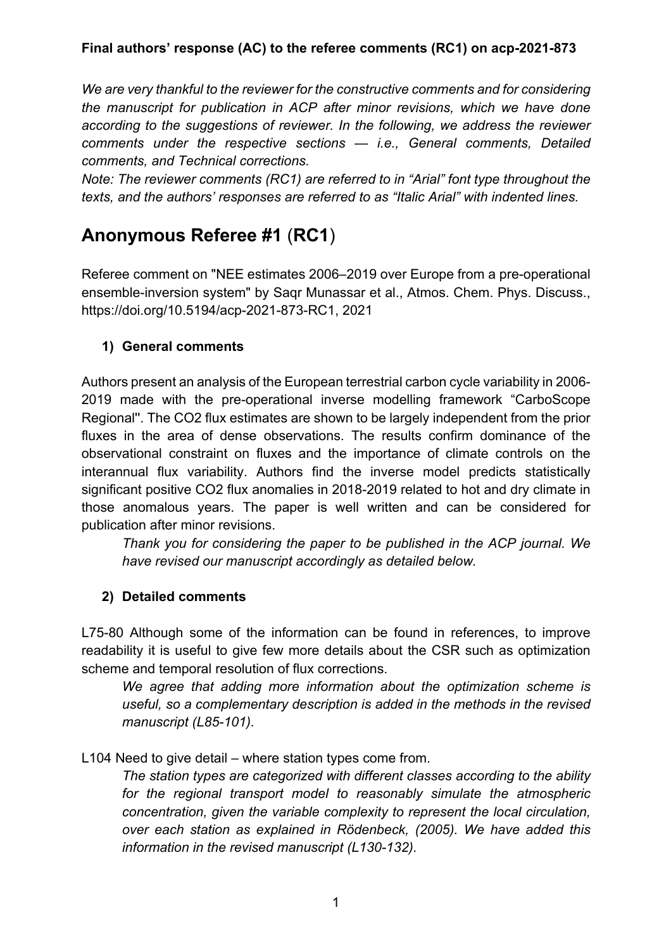*We are very thankful to the reviewer for the constructive comments and for considering the manuscript for publication in ACP after minor revisions, which we have done according to the suggestions of reviewer. In the following, we address the reviewer comments under the respective sections — i.e., General comments, Detailed comments, and Technical corrections.* 

*Note: The reviewer comments (RC1) are referred to in "Arial" font type throughout the texts, and the authors' responses are referred to as "Italic Arial" with indented lines.* 

## **Anonymous Referee #1** (**RC1**)

Referee comment on "NEE estimates 2006–2019 over Europe from a pre-operational ensemble-inversion system" by Saqr Munassar et al., Atmos. Chem. Phys. Discuss., https://doi.org/10.5194/acp-2021-873-RC1, 2021

## **1) General comments**

Authors present an analysis of the European terrestrial carbon cycle variability in 2006- 2019 made with the pre-operational inverse modelling framework "CarboScope Regional''. The CO2 flux estimates are shown to be largely independent from the prior fluxes in the area of dense observations. The results confirm dominance of the observational constraint on fluxes and the importance of climate controls on the interannual flux variability. Authors find the inverse model predicts statistically significant positive CO2 flux anomalies in 2018-2019 related to hot and dry climate in those anomalous years. The paper is well written and can be considered for publication after minor revisions.

*Thank you for considering the paper to be published in the ACP journal. We have revised our manuscript accordingly as detailed below.*

## **2) Detailed comments**

L75-80 Although some of the information can be found in references, to improve readability it is useful to give few more details about the CSR such as optimization scheme and temporal resolution of flux corrections.

*We agree that adding more information about the optimization scheme is useful, so a complementary description is added in the methods in the revised manuscript (L85-101).*

L104 Need to give detail – where station types come from.

*The station types are categorized with different classes according to the ability for the regional transport model to reasonably simulate the atmospheric concentration, given the variable complexity to represent the local circulation, over each station as explained in Rödenbeck, (2005). We have added this information in the revised manuscript (L130-132).*